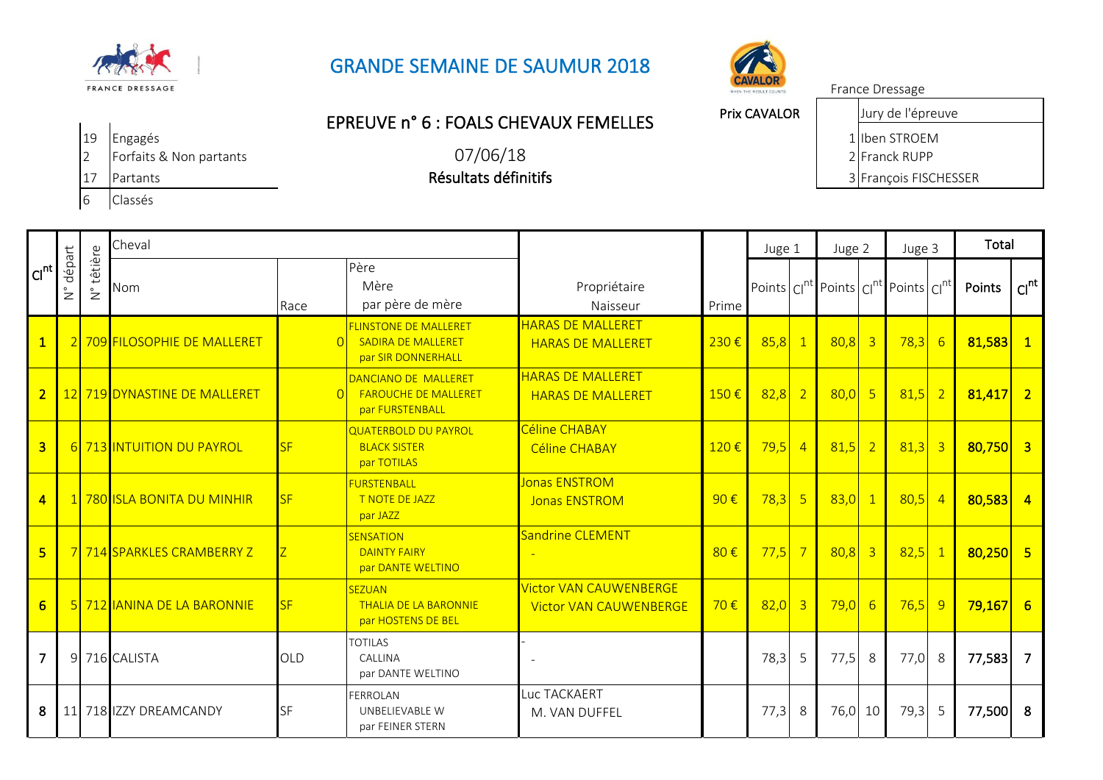

## GRANDE SEMAINE DE SAUMUR 2018



## Prix CAVALOR EPREUVE n° 6 : FOALS CHEVAUX FEMELLES

07/06/18

Résultats définitifs

19 Engagés 1 Iben STROEM

Jury de l'épreuve

France Dressage

17 Partants 3 François FISCHESSER

| <b>PERSON</b>           |                                      |                          |                              |              |                                                                                 |                                                                |          |          |   |          |                         |                                                      |                |            |                  |
|-------------------------|--------------------------------------|--------------------------|------------------------------|--------------|---------------------------------------------------------------------------------|----------------------------------------------------------------|----------|----------|---|----------|-------------------------|------------------------------------------------------|----------------|------------|------------------|
| Cl <sup>nt</sup>        | départ<br>$\overset{\circ}{\succeq}$ | têtière<br>$\frac{1}{2}$ | Cheval                       |              |                                                                                 |                                                                |          | Juge 1   |   | Juge 2   |                         | Juge 3                                               |                | Total      |                  |
|                         |                                      |                          | Nom                          | Race         | Père<br>Mère<br>par père de mère                                                | Propriétaire<br>Naisseur                                       | Prime    |          |   |          |                         | Points $ C ^{nt}$ Points $ C ^{nt}$ Points $ C ^{n}$ |                | Points     | Cl <sup>nt</sup> |
| $\mathbf{1}$            |                                      |                          | 2 709 FILOSOPHIE DE MALLERET | $\Omega$     | <b>FLINSTONE DE MALLERET</b><br><b>SADIRA DE MALLERET</b><br>par SIR DONNERHALL | <b>HARAS DE MALLERET</b><br><b>HARAS DE MALLERET</b>           | 230€     | $85,8$ 1 |   | 80,8     | $\overline{\mathbf{3}}$ | 78,3                                                 | $-6$           | $81,583$ 1 |                  |
| $\overline{2}$          |                                      |                          | 12 719 DYNASTINE DE MALLERET | $\Omega$     | DANCIANO DE MALLERET<br><b>FAROUCHE DE MALLERET</b><br>par FURSTENBALL          | <b>HARAS DE MALLERET</b><br><b>HARAS DE MALLERET</b>           | 150€     | $82,8$ 2 |   | $80,0$ 5 |                         | 81,5                                                 | $\overline{2}$ | $81,417$ 2 |                  |
| $\overline{3}$          |                                      |                          | 6 713 INTUITION DU PAYROL    | <b>SF</b>    | <b>QUATERBOLD DU PAYROL</b><br><b>BLACK SISTER</b><br>par TOTILAS               | Céline CHABAY<br><b>Céline CHABAY</b>                          | 120€     | $79,5$ 4 |   | $81,5$ 2 |                         | $81,3$ 3                                             |                | $80,750$ 3 |                  |
| $\blacktriangleleft$    |                                      |                          | 780 ISLA BONITA DU MINHIR    | <b>SF</b>    | <b>FURSTENBALL</b><br>T NOTE DE JAZZ<br>par JAZZ                                | <b>Jonas ENSTROM</b><br><b>Jonas ENSTROM</b>                   | $90 \in$ | $78,3$ 5 |   | $83,0$ 1 |                         | 80.5                                                 | $\overline{4}$ | $80,583$ 4 |                  |
| $\overline{\mathbf{5}}$ |                                      |                          | 7 714 SPARKLES CRAMBERRY Z   | $\mathsf{Z}$ | <b>SENSATION</b><br><b>DAINTY FAIRY</b><br>par DANTE WELTINO                    | Sandrine CLEMENT                                               | 80€      | $77,5$ 7 |   | $80,8$ 3 |                         | 82,5                                                 | $\blacksquare$ | $80,250$ 5 |                  |
| $6 \overline{}$         |                                      |                          | 5 712 IANINA DE LA BARONNIE  | <b>SF</b>    | <b>SEZUAN</b><br><b>THALIA DE LA BARONNIE</b><br>par HOSTENS DE BEL             | <b>Victor VAN CAUWENBERGE</b><br><b>Victor VAN CAUWENBERGE</b> | 70€      | $82,0$ 3 |   | $79,0$ 6 |                         | $76,5$ 9                                             |                | $79,167$ 6 |                  |
| $\overline{7}$          |                                      |                          | 9 716 CALISTA                | <b>OLD</b>   | <b>TOTILAS</b><br>CALLINA<br>par DANTE WELTINO                                  |                                                                |          | 78,3     | 5 | 77,5     | -8                      | 77,0                                                 | -8             | 77,583 7   |                  |
| 8                       |                                      |                          | 11 718 IZZY DREAMCANDY       | SF           | <b>FERROLAN</b><br>UNBELIEVABLE W<br>par FEINER STERN                           | Luc TACKAERT<br>M. VAN DUFFEL                                  |          | 77,3     | 8 | 76,0 10  |                         | 79,3                                                 | -5             | 77,500 8   |                  |

6 Classés

2 Forfaits & Non partants 2 Franck RUPP